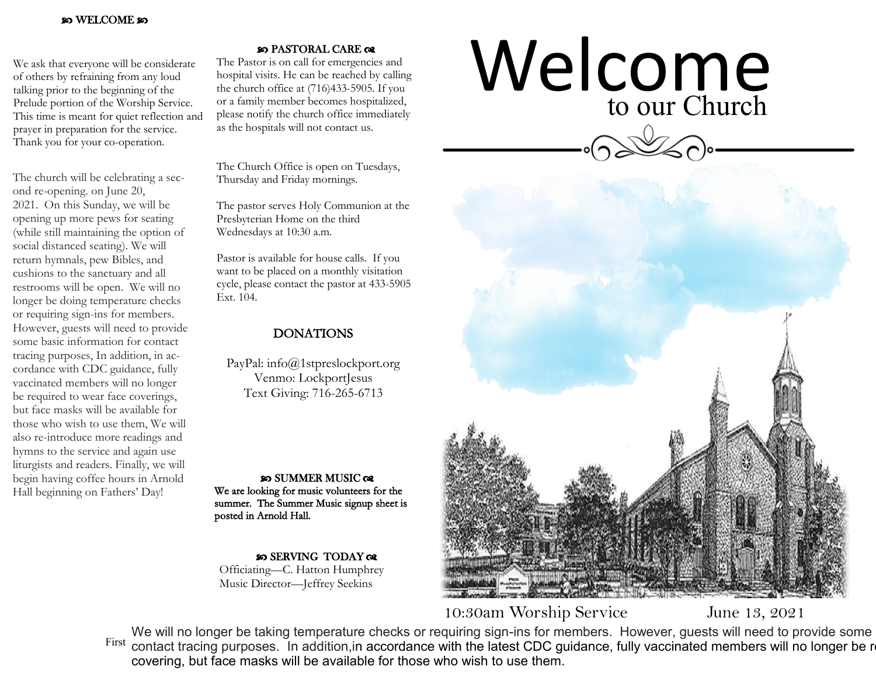## WELCOME

We ask that everyone will be considerate of others by refraining from any loud talking prior to the beginning of the Prelude portion of the Worship Service. This time is meant for quiet reflection and prayer in preparation for the service. Thank you for your co-operation.

The church will be celebrating a second re-opening. on June 20, 2021. On this Sunday, we will be opening up more pews for seating (while still maintaining the option of social distanced seating). We will return hymnals, pew Bibles, and cushions to the sanctuary and all restrooms will be open. We will no longer be doing temperature checks or requiring sign-ins for members. However, guests will need to provide some basic information for contact tracing purposes, In addition, in accordance with CDC guidance, fully vaccinated members will no longer be required to wear face coverings, but face masks will be available for those who wish to use them, We will also re-introduce more readings and hymns to the service and again use liturgists and readers. Finally, we will begin having coffee hours in Arnold Hall beginning on Fathers' Day!

## **80 PASTORAL CARE GR**

The Pastor is on call for emergencies and hospital visits. He can be reached by calling the church office at (716)433-5905. If you or a family member becomes hospitalized, please notify the church office immediately as the hospitals will not contact us.

The Church Office is open on Tuesdays, Thursday and Friday mornings.

The pastor serves Holy Communion at the Presbyterian Home on the third Wednesdays at 10:30 a.m.

Pastor is available for house calls. If you want to be placed on a monthly visitation cycle, please contact the pastor at 433-5905 Ext. 104.

## DONATIONS

PayPal: info@1stpreslockport.org Venmo: LockportJesus Text Giving: 716-265-6713

**SO SUMMER MUSIC QR** We are looking for music volunteers for the summer. The Summer Music signup sheet is posted in Arnold Hall.

so SERVING TODAY or Officiating—C. Hatton Humphrey Music Director—Jeffrey Seekins

## Welcome<br>to our Church to our Church



10:30am Worship Service June 13, 2021

First contact tracing purposes. In addition, in accordance with the latest CDC guidance, fully vaccinated members will no longer be re covering, but face masks will be available for those who wish to use them. We will no longer be taking temperature checks or requiring sign-ins for members. However, guests will need to provide some